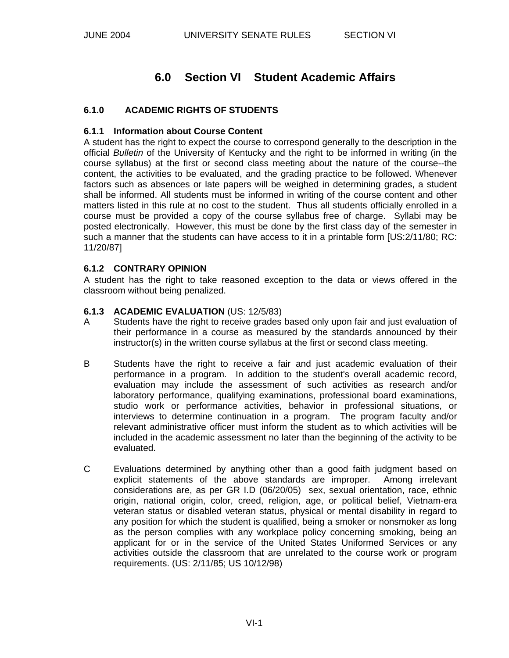# **6.0 Section VI Student Academic Affairs**

# **6.1.0 ACADEMIC RIGHTS OF STUDENTS**

#### **6.1.1 Information about Course Content**

A student has the right to expect the course to correspond generally to the description in the official *Bulletin* of the University of Kentucky and the right to be informed in writing (in the course syllabus) at the first or second class meeting about the nature of the course--the content, the activities to be evaluated, and the grading practice to be followed. Whenever factors such as absences or late papers will be weighed in determining grades, a student shall be informed. All students must be informed in writing of the course content and other matters listed in this rule at no cost to the student. Thus all students officially enrolled in a course must be provided a copy of the course syllabus free of charge. Syllabi may be posted electronically. However, this must be done by the first class day of the semester in such a manner that the students can have access to it in a printable form [US:2/11/80; RC: 11/20/87]

#### **6.1.2 CONTRARY OPINION**

A student has the right to take reasoned exception to the data or views offered in the classroom without being penalized.

#### **6.1.3 ACADEMIC EVALUATION** (US: 12/5/83)

- A Students have the right to receive grades based only upon fair and just evaluation of their performance in a course as measured by the standards announced by their instructor(s) in the written course syllabus at the first or second class meeting.
- B Students have the right to receive a fair and just academic evaluation of their performance in a program. In addition to the student's overall academic record, evaluation may include the assessment of such activities as research and/or laboratory performance, qualifying examinations, professional board examinations, studio work or performance activities, behavior in professional situations, or interviews to determine continuation in a program. The program faculty and/or relevant administrative officer must inform the student as to which activities will be included in the academic assessment no later than the beginning of the activity to be evaluated.
- C Evaluations determined by anything other than a good faith judgment based on explicit statements of the above standards are improper. Among irrelevant considerations are, as per GR I.D (06/20/05) sex, sexual orientation, race, ethnic origin, national origin, color, creed, religion, age, or political belief, Vietnam-era veteran status or disabled veteran status, physical or mental disability in regard to any position for which the student is qualified, being a smoker or nonsmoker as long as the person complies with any workplace policy concerning smoking, being an applicant for or in the service of the United States Uniformed Services or any activities outside the classroom that are unrelated to the course work or program requirements. (US: 2/11/85; US 10/12/98)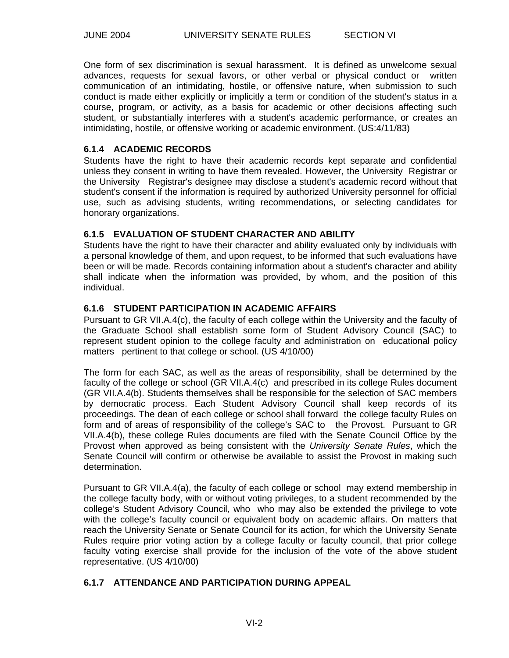One form of sex discrimination is sexual harassment. It is defined as unwelcome sexual advances, requests for sexual favors, or other verbal or physical conduct or written communication of an intimidating, hostile, or offensive nature, when submission to such conduct is made either explicitly or implicitly a term or condition of the student's status in a course, program, or activity, as a basis for academic or other decisions affecting such student, or substantially interferes with a student's academic performance, or creates an intimidating, hostile, or offensive working or academic environment. (US:4/11/83)

#### **6.1.4 ACADEMIC RECORDS**

Students have the right to have their academic records kept separate and confidential unless they consent in writing to have them revealed. However, the University Registrar or the University Registrar's designee may disclose a student's academic record without that student's consent if the information is required by authorized University personnel for official use, such as advising students, writing recommendations, or selecting candidates for honorary organizations.

## **6.1.5 EVALUATION OF STUDENT CHARACTER AND ABILITY**

Students have the right to have their character and ability evaluated only by individuals with a personal knowledge of them, and upon request, to be informed that such evaluations have been or will be made. Records containing information about a student's character and ability shall indicate when the information was provided, by whom, and the position of this individual.

#### **6.1.6 STUDENT PARTICIPATION IN ACADEMIC AFFAIRS**

Pursuant to GR VII.A.4(c), the faculty of each college within the University and the faculty of the Graduate School shall establish some form of Student Advisory Council (SAC) to represent student opinion to the college faculty and administration on educational policy matters pertinent to that college or school. (US 4/10/00)

The form for each SAC, as well as the areas of responsibility, shall be determined by the faculty of the college or school (GR VII.A.4(c) and prescribed in its college Rules document (GR VII.A.4(b). Students themselves shall be responsible for the selection of SAC members by democratic process. Each Student Advisory Council shall keep records of its proceedings. The dean of each college or school shall forward the college faculty Rules on form and of areas of responsibility of the college's SAC to the Provost. Pursuant to GR VII.A.4(b), these college Rules documents are filed with the Senate Council Office by the Provost when approved as being consistent with the *University Senate Rules*, which the Senate Council will confirm or otherwise be available to assist the Provost in making such determination.

Pursuant to GR VII.A.4(a), the faculty of each college or school may extend membership in the college faculty body, with or without voting privileges, to a student recommended by the college's Student Advisory Council, who who may also be extended the privilege to vote with the college's faculty council or equivalent body on academic affairs. On matters that reach the University Senate or Senate Council for its action, for which the University Senate Rules require prior voting action by a college faculty or faculty council, that prior college faculty voting exercise shall provide for the inclusion of the vote of the above student representative. (US 4/10/00)

## **6.1.7 ATTENDANCE AND PARTICIPATION DURING APPEAL**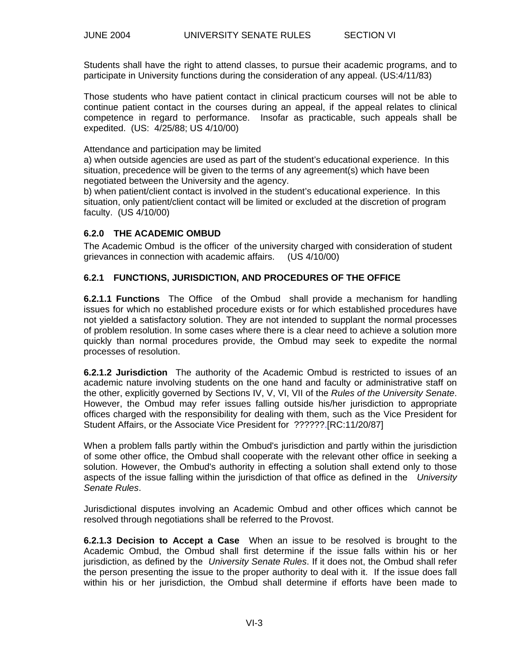Students shall have the right to attend classes, to pursue their academic programs, and to participate in University functions during the consideration of any appeal. (US:4/11/83)

Those students who have patient contact in clinical practicum courses will not be able to continue patient contact in the courses during an appeal, if the appeal relates to clinical competence in regard to performance. Insofar as practicable, such appeals shall be expedited. (US: 4/25/88; US 4/10/00)

Attendance and participation may be limited

a) when outside agencies are used as part of the student's educational experience. In this situation, precedence will be given to the terms of any agreement(s) which have been negotiated between the University and the agency.

b) when patient/client contact is involved in the student's educational experience. In this situation, only patient/client contact will be limited or excluded at the discretion of program faculty. (US 4/10/00)

#### **6.2.0 THE ACADEMIC OMBUD**

The Academic Ombud is the officer of the university charged with consideration of student grievances in connection with academic affairs. (US 4/10/00)

#### **6.2.1 FUNCTIONS, JURISDICTION, AND PROCEDURES OF THE OFFICE**

**6.2.1.1 Functions** The Office of the Ombud shall provide a mechanism for handling issues for which no established procedure exists or for which established procedures have not yielded a satisfactory solution. They are not intended to supplant the normal processes of problem resolution. In some cases where there is a clear need to achieve a solution more quickly than normal procedures provide, the Ombud may seek to expedite the normal processes of resolution.

**6.2.1.2 Jurisdiction** The authority of the Academic Ombud is restricted to issues of an academic nature involving students on the one hand and faculty or administrative staff on the other, explicitly governed by Sections IV, V, VI, VII of the *Rules of the University Senate*. However, the Ombud may refer issues falling outside his/her jurisdiction to appropriate offices charged with the responsibility for dealing with them, such as the Vice President for Student Affairs, or the Associate Vice President for ??????.[RC:11/20/87]

When a problem falls partly within the Ombud's jurisdiction and partly within the jurisdiction of some other office, the Ombud shall cooperate with the relevant other office in seeking a solution. However, the Ombud's authority in effecting a solution shall extend only to those aspects of the issue falling within the jurisdiction of that office as defined in the *University Senate Rules*.

Jurisdictional disputes involving an Academic Ombud and other offices which cannot be resolved through negotiations shall be referred to the Provost.

**6.2.1.3 Decision to Accept a Case** When an issue to be resolved is brought to the Academic Ombud, the Ombud shall first determine if the issue falls within his or her jurisdiction, as defined by the *University Senate Rules*. If it does not, the Ombud shall refer the person presenting the issue to the proper authority to deal with it. If the issue does fall within his or her jurisdiction, the Ombud shall determine if efforts have been made to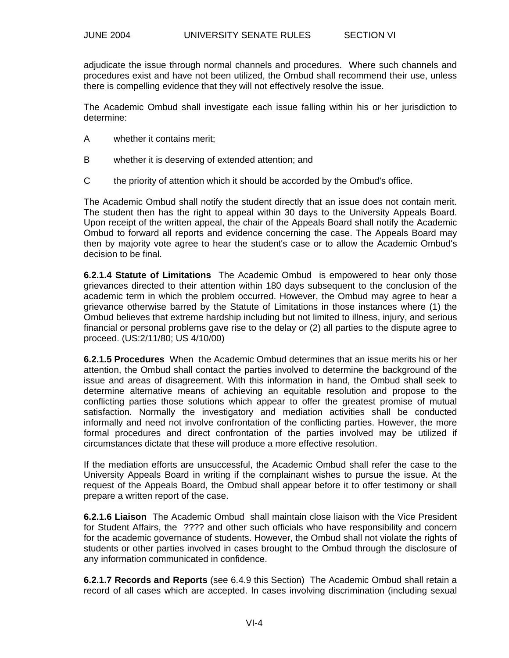adjudicate the issue through normal channels and procedures. Where such channels and procedures exist and have not been utilized, the Ombud shall recommend their use, unless there is compelling evidence that they will not effectively resolve the issue.

The Academic Ombud shall investigate each issue falling within his or her jurisdiction to determine:

- A whether it contains merit;
- B whether it is deserving of extended attention; and
- C the priority of attention which it should be accorded by the Ombud's office.

The Academic Ombud shall notify the student directly that an issue does not contain merit. The student then has the right to appeal within 30 days to the University Appeals Board. Upon receipt of the written appeal, the chair of the Appeals Board shall notify the Academic Ombud to forward all reports and evidence concerning the case. The Appeals Board may then by majority vote agree to hear the student's case or to allow the Academic Ombud's decision to be final.

**6.2.1.4 Statute of Limitations** The Academic Ombud is empowered to hear only those grievances directed to their attention within 180 days subsequent to the conclusion of the academic term in which the problem occurred. However, the Ombud may agree to hear a grievance otherwise barred by the Statute of Limitations in those instances where (1) the Ombud believes that extreme hardship including but not limited to illness, injury, and serious financial or personal problems gave rise to the delay or (2) all parties to the dispute agree to proceed. (US:2/11/80; US 4/10/00)

**6.2.1.5 Procedures** When the Academic Ombud determines that an issue merits his or her attention, the Ombud shall contact the parties involved to determine the background of the issue and areas of disagreement. With this information in hand, the Ombud shall seek to determine alternative means of achieving an equitable resolution and propose to the conflicting parties those solutions which appear to offer the greatest promise of mutual satisfaction. Normally the investigatory and mediation activities shall be conducted informally and need not involve confrontation of the conflicting parties. However, the more formal procedures and direct confrontation of the parties involved may be utilized if circumstances dictate that these will produce a more effective resolution.

If the mediation efforts are unsuccessful, the Academic Ombud shall refer the case to the University Appeals Board in writing if the complainant wishes to pursue the issue. At the request of the Appeals Board, the Ombud shall appear before it to offer testimony or shall prepare a written report of the case.

**6.2.1.6 Liaison** The Academic Ombud shall maintain close liaison with the Vice President for Student Affairs, the ???? and other such officials who have responsibility and concern for the academic governance of students. However, the Ombud shall not violate the rights of students or other parties involved in cases brought to the Ombud through the disclosure of any information communicated in confidence.

**6.2.1.7 Records and Reports** (see 6.4.9 this Section) The Academic Ombud shall retain a record of all cases which are accepted. In cases involving discrimination (including sexual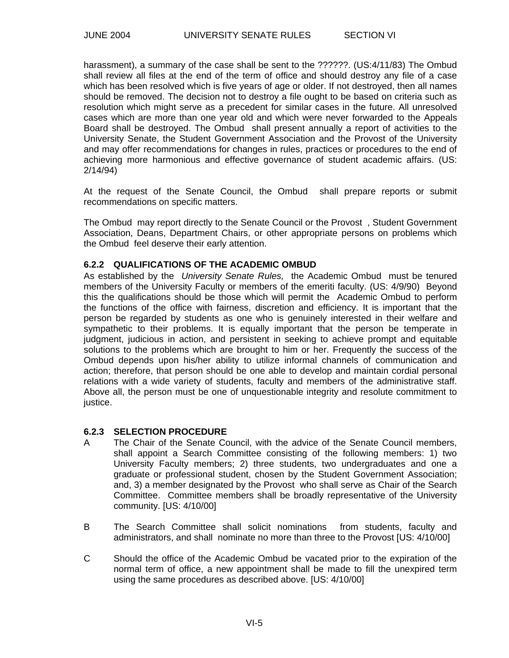harassment), a summary of the case shall be sent to the ??????. (US:4/11/83) The Ombud shall review all files at the end of the term of office and should destroy any file of a case which has been resolved which is five years of age or older. If not destroyed, then all names should be removed. The decision not to destroy a file ought to be based on criteria such as resolution which might serve as a precedent for similar cases in the future. All unresolved cases which are more than one year old and which were never forwarded to the Appeals Board shall be destroyed. The Ombud shall present annually a report of activities to the University Senate, the Student Government Association and the Provost of the University and may offer recommendations for changes in rules, practices or procedures to the end of achieving more harmonious and effective governance of student academic affairs. (US: 2/14/94)

At the request of the Senate Council, the Ombud shall prepare reports or submit recommendations on specific matters.

The Ombud may report directly to the Senate Council or the Provost , Student Government Association, Deans, Department Chairs, or other appropriate persons on problems which the Ombud feel deserve their early attention.

#### **6.2.2 QUALIFICATIONS OF THE ACADEMIC OMBUD**

As established by the *University Senate Rules,* the Academic Ombud must be tenured members of the University Faculty or members of the emeriti faculty. (US: 4/9/90) Beyond this the qualifications should be those which will permit the Academic Ombud to perform the functions of the office with fairness, discretion and efficiency. It is important that the person be regarded by students as one who is genuinely interested in their welfare and sympathetic to their problems. It is equally important that the person be temperate in judgment, judicious in action, and persistent in seeking to achieve prompt and equitable solutions to the problems which are brought to him or her. Frequently the success of the Ombud depends upon his/her ability to utilize informal channels of communication and action; therefore, that person should be one able to develop and maintain cordial personal relations with a wide variety of students, faculty and members of the administrative staff. Above all, the person must be one of unquestionable integrity and resolute commitment to justice.

#### **6.2.3 SELECTION PROCEDURE**

- A The Chair of the Senate Council, with the advice of the Senate Council members, shall appoint a Search Committee consisting of the following members: 1) two University Faculty members; 2) three students, two undergraduates and one a graduate or professional student, chosen by the Student Government Association; and, 3) a member designated by the Provost who shall serve as Chair of the Search Committee. Committee members shall be broadly representative of the University community. [US: 4/10/00]
- B The Search Committee shall solicit nominations from students, faculty and administrators, and shall nominate no more than three to the Provost [US: 4/10/00]
- C Should the office of the Academic Ombud be vacated prior to the expiration of the normal term of office, a new appointment shall be made to fill the unexpired term using the same procedures as described above. [US: 4/10/00]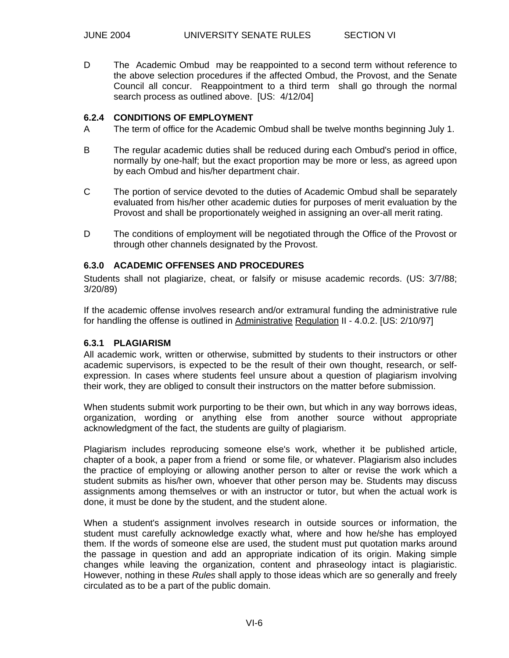D The Academic Ombud may be reappointed to a second term without reference to the above selection procedures if the affected Ombud, the Provost, and the Senate Council all concur. Reappointment to a third term shall go through the normal search process as outlined above. [US: 4/12/04]

#### **6.2.4 CONDITIONS OF EMPLOYMENT**

- A The term of office for the Academic Ombud shall be twelve months beginning July 1.
- B The regular academic duties shall be reduced during each Ombud's period in office, normally by one-half; but the exact proportion may be more or less, as agreed upon by each Ombud and his/her department chair.
- C The portion of service devoted to the duties of Academic Ombud shall be separately evaluated from his/her other academic duties for purposes of merit evaluation by the Provost and shall be proportionately weighed in assigning an over-all merit rating.
- D The conditions of employment will be negotiated through the Office of the Provost or through other channels designated by the Provost.

# **6.3.0 ACADEMIC OFFENSES AND PROCEDURES**

Students shall not plagiarize, cheat, or falsify or misuse academic records. (US: 3/7/88; 3/20/89)

If the academic offense involves research and/or extramural funding the administrative rule for handling the offense is outlined in Administrative Regulation II - 4.0.2. [US: 2/10/97]

#### **6.3.1 PLAGIARISM**

All academic work, written or otherwise, submitted by students to their instructors or other academic supervisors, is expected to be the result of their own thought, research, or selfexpression. In cases where students feel unsure about a question of plagiarism involving their work, they are obliged to consult their instructors on the matter before submission.

When students submit work purporting to be their own, but which in any way borrows ideas, organization, wording or anything else from another source without appropriate acknowledgment of the fact, the students are guilty of plagiarism.

Plagiarism includes reproducing someone else's work, whether it be published article, chapter of a book, a paper from a friend or some file, or whatever. Plagiarism also includes the practice of employing or allowing another person to alter or revise the work which a student submits as his/her own, whoever that other person may be. Students may discuss assignments among themselves or with an instructor or tutor, but when the actual work is done, it must be done by the student, and the student alone.

When a student's assignment involves research in outside sources or information, the student must carefully acknowledge exactly what, where and how he/she has employed them. If the words of someone else are used, the student must put quotation marks around the passage in question and add an appropriate indication of its origin. Making simple changes while leaving the organization, content and phraseology intact is plagiaristic. However, nothing in these *Rules* shall apply to those ideas which are so generally and freely circulated as to be a part of the public domain.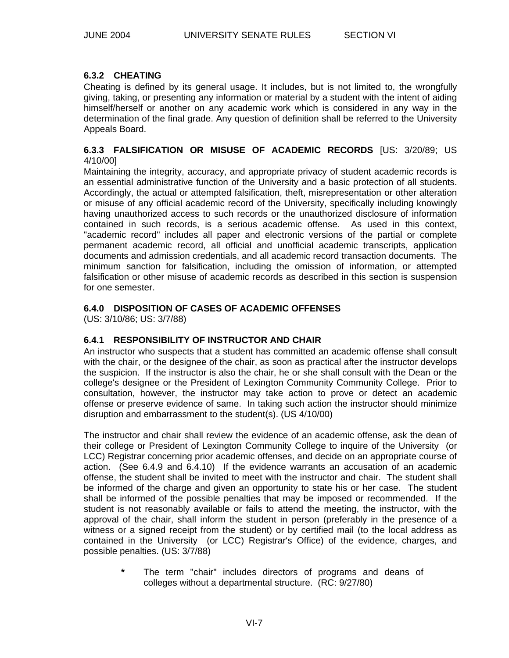# **6.3.2 CHEATING**

Cheating is defined by its general usage. It includes, but is not limited to, the wrongfully giving, taking, or presenting any information or material by a student with the intent of aiding himself/herself or another on any academic work which is considered in any way in the determination of the final grade. Any question of definition shall be referred to the University Appeals Board.

#### **6.3.3 FALSIFICATION OR MISUSE OF ACADEMIC RECORDS** [US: 3/20/89; US 4/10/00]

Maintaining the integrity, accuracy, and appropriate privacy of student academic records is an essential administrative function of the University and a basic protection of all students. Accordingly, the actual or attempted falsification, theft, misrepresentation or other alteration or misuse of any official academic record of the University, specifically including knowingly having unauthorized access to such records or the unauthorized disclosure of information contained in such records, is a serious academic offense. As used in this context, "academic record" includes all paper and electronic versions of the partial or complete permanent academic record, all official and unofficial academic transcripts, application documents and admission credentials, and all academic record transaction documents. The minimum sanction for falsification, including the omission of information, or attempted falsification or other misuse of academic records as described in this section is suspension for one semester.

# **6.4.0 DISPOSITION OF CASES OF ACADEMIC OFFENSES**

(US: 3/10/86; US: 3/7/88)

## **6.4.1 RESPONSIBILITY OF INSTRUCTOR AND CHAIR**

An instructor who suspects that a student has committed an academic offense shall consult with the chair, or the designee of the chair, as soon as practical after the instructor develops the suspicion. If the instructor is also the chair, he or she shall consult with the Dean or the college's designee or the President of Lexington Community Community College. Prior to consultation, however, the instructor may take action to prove or detect an academic offense or preserve evidence of same. In taking such action the instructor should minimize disruption and embarrassment to the student(s). (US 4/10/00)

The instructor and chair shall review the evidence of an academic offense, ask the dean of their college or President of Lexington Community College to inquire of the University (or LCC) Registrar concerning prior academic offenses, and decide on an appropriate course of action. (See 6.4.9 and 6.4.10) If the evidence warrants an accusation of an academic offense, the student shall be invited to meet with the instructor and chair. The student shall be informed of the charge and given an opportunity to state his or her case. The student shall be informed of the possible penalties that may be imposed or recommended. If the student is not reasonably available or fails to attend the meeting, the instructor, with the approval of the chair, shall inform the student in person (preferably in the presence of a witness or a signed receipt from the student) or by certified mail (to the local address as contained in the University (or LCC) Registrar's Office) of the evidence, charges, and possible penalties. (US: 3/7/88)

**\*** The term "chair" includes directors of programs and deans of colleges without a departmental structure. (RC: 9/27/80)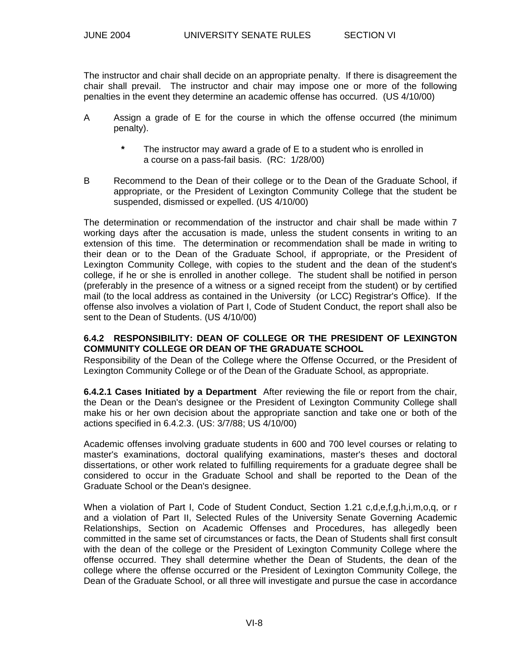The instructor and chair shall decide on an appropriate penalty. If there is disagreement the chair shall prevail. The instructor and chair may impose one or more of the following penalties in the event they determine an academic offense has occurred. (US 4/10/00)

- A Assign a grade of E for the course in which the offense occurred (the minimum penalty).
	- **\*** The instructor may award a grade of E to a student who is enrolled in a course on a pass-fail basis. (RC: 1/28/00)
- B Recommend to the Dean of their college or to the Dean of the Graduate School, if appropriate, or the President of Lexington Community College that the student be suspended, dismissed or expelled. (US 4/10/00)

The determination or recommendation of the instructor and chair shall be made within 7 working days after the accusation is made, unless the student consents in writing to an extension of this time. The determination or recommendation shall be made in writing to their dean or to the Dean of the Graduate School, if appropriate, or the President of Lexington Community College, with copies to the student and the dean of the student's college, if he or she is enrolled in another college. The student shall be notified in person (preferably in the presence of a witness or a signed receipt from the student) or by certified mail (to the local address as contained in the University (or LCC) Registrar's Office). If the offense also involves a violation of Part I, Code of Student Conduct, the report shall also be sent to the Dean of Students. (US 4/10/00)

# **6.4.2 RESPONSIBILITY: DEAN OF COLLEGE OR THE PRESIDENT OF LEXINGTON COMMUNITY COLLEGE OR DEAN OF THE GRADUATE SCHOOL**

Responsibility of the Dean of the College where the Offense Occurred, or the President of Lexington Community College or of the Dean of the Graduate School, as appropriate.

**6.4.2.1 Cases Initiated by a Department** After reviewing the file or report from the chair, the Dean or the Dean's designee or the President of Lexington Community College shall make his or her own decision about the appropriate sanction and take one or both of the actions specified in 6.4.2.3. (US: 3/7/88; US 4/10/00)

Academic offenses involving graduate students in 600 and 700 level courses or relating to master's examinations, doctoral qualifying examinations, master's theses and doctoral dissertations, or other work related to fulfilling requirements for a graduate degree shall be considered to occur in the Graduate School and shall be reported to the Dean of the Graduate School or the Dean's designee.

When a violation of Part I, Code of Student Conduct, Section 1.21 c,d,e,f,g,h,i,m,o,q, or r and a violation of Part II, Selected Rules of the University Senate Governing Academic Relationships, Section on Academic Offenses and Procedures, has allegedly been committed in the same set of circumstances or facts, the Dean of Students shall first consult with the dean of the college or the President of Lexington Community College where the offense occurred. They shall determine whether the Dean of Students, the dean of the college where the offense occurred or the President of Lexington Community College, the Dean of the Graduate School, or all three will investigate and pursue the case in accordance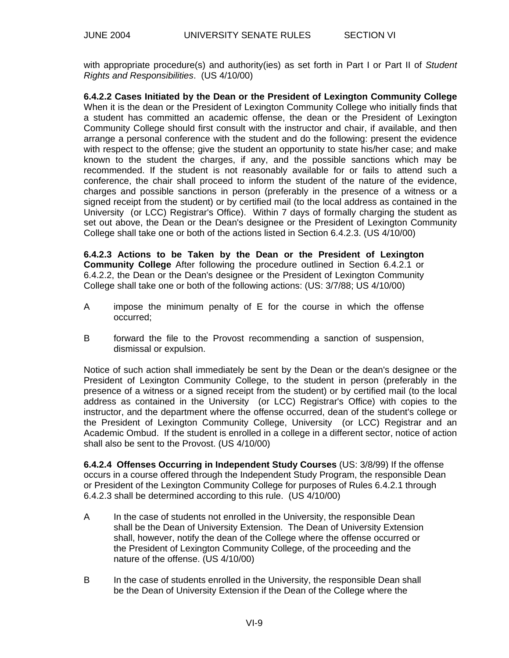with appropriate procedure(s) and authority(ies) as set forth in Part I or Part II of *Student Rights and Responsibilities*. (US 4/10/00)

**6.4.2.2 Cases Initiated by the Dean or the President of Lexington Community College** When it is the dean or the President of Lexington Community College who initially finds that a student has committed an academic offense, the dean or the President of Lexington Community College should first consult with the instructor and chair, if available, and then arrange a personal conference with the student and do the following: present the evidence with respect to the offense; give the student an opportunity to state his/her case; and make known to the student the charges, if any, and the possible sanctions which may be recommended. If the student is not reasonably available for or fails to attend such a conference, the chair shall proceed to inform the student of the nature of the evidence, charges and possible sanctions in person (preferably in the presence of a witness or a signed receipt from the student) or by certified mail (to the local address as contained in the University (or LCC) Registrar's Office). Within 7 days of formally charging the student as set out above, the Dean or the Dean's designee or the President of Lexington Community College shall take one or both of the actions listed in Section 6.4.2.3. (US 4/10/00)

**6.4.2.3 Actions to be Taken by the Dean or the President of Lexington Community College** After following the procedure outlined in Section 6.4.2.1 or 6.4.2.2, the Dean or the Dean's designee or the President of Lexington Community College shall take one or both of the following actions: (US: 3/7/88; US 4/10/00)

- A impose the minimum penalty of E for the course in which the offense occurred;
- B forward the file to the Provost recommending a sanction of suspension, dismissal or expulsion.

Notice of such action shall immediately be sent by the Dean or the dean's designee or the President of Lexington Community College, to the student in person (preferably in the presence of a witness or a signed receipt from the student) or by certified mail (to the local address as contained in the University (or LCC) Registrar's Office) with copies to the instructor, and the department where the offense occurred, dean of the student's college or the President of Lexington Community College, University (or LCC) Registrar and an Academic Ombud. If the student is enrolled in a college in a different sector, notice of action shall also be sent to the Provost. (US 4/10/00)

**6.4.2.4 Offenses Occurring in Independent Study Courses** (US: 3/8/99) If the offense occurs in a course offered through the Independent Study Program, the responsible Dean or President of the Lexington Community College for purposes of Rules 6.4.2.1 through 6.4.2.3 shall be determined according to this rule. (US 4/10/00)

- A In the case of students not enrolled in the University, the responsible Dean shall be the Dean of University Extension. The Dean of University Extension shall, however, notify the dean of the College where the offense occurred or the President of Lexington Community College, of the proceeding and the nature of the offense. (US 4/10/00)
- B In the case of students enrolled in the University, the responsible Dean shall be the Dean of University Extension if the Dean of the College where the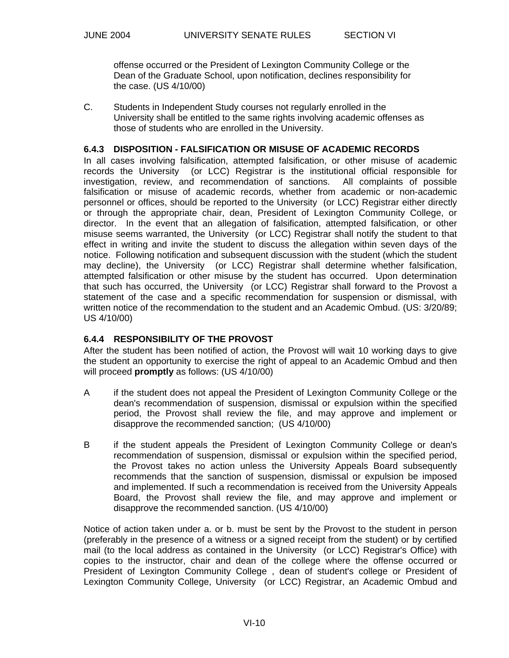offense occurred or the President of Lexington Community College or the Dean of the Graduate School, upon notification, declines responsibility for the case. (US 4/10/00)

C. Students in Independent Study courses not regularly enrolled in the University shall be entitled to the same rights involving academic offenses as those of students who are enrolled in the University.

#### **6.4.3 DISPOSITION - FALSIFICATION OR MISUSE OF ACADEMIC RECORDS**

In all cases involving falsification, attempted falsification, or other misuse of academic records the University (or LCC) Registrar is the institutional official responsible for investigation, review, and recommendation of sanctions. All complaints of possible falsification or misuse of academic records, whether from academic or non-academic personnel or offices, should be reported to the University (or LCC) Registrar either directly or through the appropriate chair, dean, President of Lexington Community College, or director. In the event that an allegation of falsification, attempted falsification, or other misuse seems warranted, the University (or LCC) Registrar shall notify the student to that effect in writing and invite the student to discuss the allegation within seven days of the notice. Following notification and subsequent discussion with the student (which the student may decline), the University (or LCC) Registrar shall determine whether falsification, attempted falsification or other misuse by the student has occurred. Upon determination that such has occurred, the University (or LCC) Registrar shall forward to the Provost a statement of the case and a specific recommendation for suspension or dismissal, with written notice of the recommendation to the student and an Academic Ombud. (US: 3/20/89; US 4/10/00)

## **6.4.4 RESPONSIBILITY OF THE PROVOST**

After the student has been notified of action, the Provost will wait 10 working days to give the student an opportunity to exercise the right of appeal to an Academic Ombud and then will proceed **promptly** as follows: (US 4/10/00)

- A if the student does not appeal the President of Lexington Community College or the dean's recommendation of suspension, dismissal or expulsion within the specified period, the Provost shall review the file, and may approve and implement or disapprove the recommended sanction; (US 4/10/00)
- B if the student appeals the President of Lexington Community College or dean's recommendation of suspension, dismissal or expulsion within the specified period, the Provost takes no action unless the University Appeals Board subsequently recommends that the sanction of suspension, dismissal or expulsion be imposed and implemented. If such a recommendation is received from the University Appeals Board, the Provost shall review the file, and may approve and implement or disapprove the recommended sanction. (US 4/10/00)

Notice of action taken under a. or b. must be sent by the Provost to the student in person (preferably in the presence of a witness or a signed receipt from the student) or by certified mail (to the local address as contained in the University (or LCC) Registrar's Office) with copies to the instructor, chair and dean of the college where the offense occurred or President of Lexington Community College , dean of student's college or President of Lexington Community College, University (or LCC) Registrar, an Academic Ombud and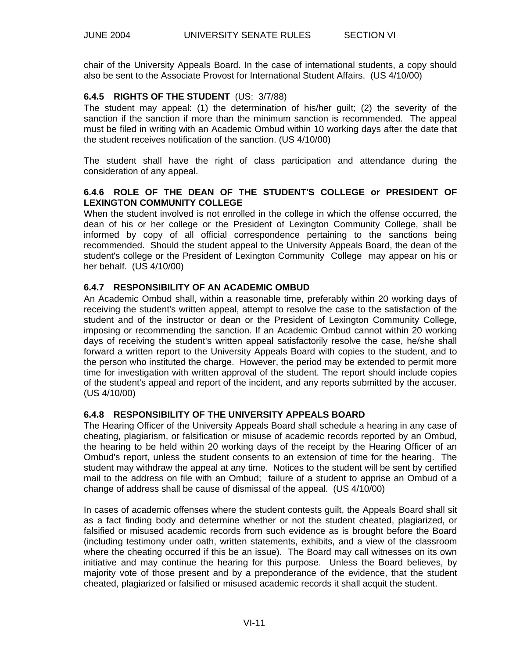chair of the University Appeals Board. In the case of international students, a copy should also be sent to the Associate Provost for International Student Affairs. (US 4/10/00)

# **6.4.5 RIGHTS OF THE STUDENT** (US: 3/7/88)

The student may appeal: (1) the determination of his/her guilt; (2) the severity of the sanction if the sanction if more than the minimum sanction is recommended. The appeal must be filed in writing with an Academic Ombud within 10 working days after the date that the student receives notification of the sanction. (US 4/10/00)

The student shall have the right of class participation and attendance during the consideration of any appeal.

# **6.4.6 ROLE OF THE DEAN OF THE STUDENT'S COLLEGE or PRESIDENT OF LEXINGTON COMMUNITY COLLEGE**

When the student involved is not enrolled in the college in which the offense occurred, the dean of his or her college or the President of Lexington Community College, shall be informed by copy of all official correspondence pertaining to the sanctions being recommended. Should the student appeal to the University Appeals Board, the dean of the student's college or the President of Lexington Community College may appear on his or her behalf. (US 4/10/00)

# **6.4.7 RESPONSIBILITY OF AN ACADEMIC OMBUD**

An Academic Ombud shall, within a reasonable time, preferably within 20 working days of receiving the student's written appeal, attempt to resolve the case to the satisfaction of the student and of the instructor or dean or the President of Lexington Community College, imposing or recommending the sanction. If an Academic Ombud cannot within 20 working days of receiving the student's written appeal satisfactorily resolve the case, he/she shall forward a written report to the University Appeals Board with copies to the student, and to the person who instituted the charge. However, the period may be extended to permit more time for investigation with written approval of the student. The report should include copies of the student's appeal and report of the incident, and any reports submitted by the accuser. (US 4/10/00)

## **6.4.8 RESPONSIBILITY OF THE UNIVERSITY APPEALS BOARD**

The Hearing Officer of the University Appeals Board shall schedule a hearing in any case of cheating, plagiarism, or falsification or misuse of academic records reported by an Ombud, the hearing to be held within 20 working days of the receipt by the Hearing Officer of an Ombud's report, unless the student consents to an extension of time for the hearing. The student may withdraw the appeal at any time. Notices to the student will be sent by certified mail to the address on file with an Ombud; failure of a student to apprise an Ombud of a change of address shall be cause of dismissal of the appeal. (US 4/10/00)

In cases of academic offenses where the student contests guilt, the Appeals Board shall sit as a fact finding body and determine whether or not the student cheated, plagiarized, or falsified or misused academic records from such evidence as is brought before the Board (including testimony under oath, written statements, exhibits, and a view of the classroom where the cheating occurred if this be an issue). The Board may call witnesses on its own initiative and may continue the hearing for this purpose. Unless the Board believes, by majority vote of those present and by a preponderance of the evidence, that the student cheated, plagiarized or falsified or misused academic records it shall acquit the student.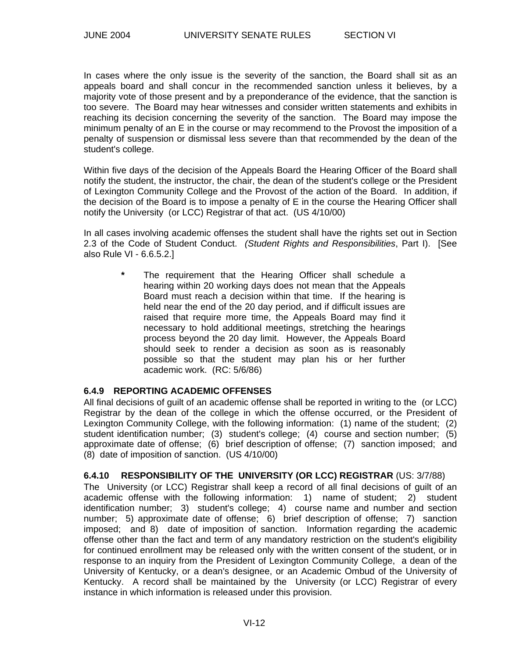In cases where the only issue is the severity of the sanction, the Board shall sit as an appeals board and shall concur in the recommended sanction unless it believes, by a majority vote of those present and by a preponderance of the evidence, that the sanction is too severe. The Board may hear witnesses and consider written statements and exhibits in reaching its decision concerning the severity of the sanction. The Board may impose the minimum penalty of an E in the course or may recommend to the Provost the imposition of a penalty of suspension or dismissal less severe than that recommended by the dean of the student's college.

Within five days of the decision of the Appeals Board the Hearing Officer of the Board shall notify the student, the instructor, the chair, the dean of the student's college or the President of Lexington Community College and the Provost of the action of the Board. In addition, if the decision of the Board is to impose a penalty of E in the course the Hearing Officer shall notify the University (or LCC) Registrar of that act. (US 4/10/00)

In all cases involving academic offenses the student shall have the rights set out in Section 2.3 of the Code of Student Conduct. *(Student Rights and Responsibilities*, Part I). [See also Rule VI - 6.6.5.2.]

The requirement that the Hearing Officer shall schedule a hearing within 20 working days does not mean that the Appeals Board must reach a decision within that time. If the hearing is held near the end of the 20 day period, and if difficult issues are raised that require more time, the Appeals Board may find it necessary to hold additional meetings, stretching the hearings process beyond the 20 day limit. However, the Appeals Board should seek to render a decision as soon as is reasonably possible so that the student may plan his or her further academic work. (RC: 5/6/86)

#### **6.4.9 REPORTING ACADEMIC OFFENSES**

All final decisions of guilt of an academic offense shall be reported in writing to the (or LCC) Registrar by the dean of the college in which the offense occurred, or the President of Lexington Community College, with the following information: (1) name of the student; (2) student identification number; (3) student's college; (4) course and section number; (5) approximate date of offense; (6) brief description of offense; (7) sanction imposed; and (8) date of imposition of sanction. (US 4/10/00)

# **6.4.10 RESPONSIBILITY OF THE UNIVERSITY (OR LCC) REGISTRAR** (US: 3/7/88)

The University (or LCC) Registrar shall keep a record of all final decisions of guilt of an academic offense with the following information: 1) name of student; 2) student identification number; 3) student's college; 4) course name and number and section number; 5) approximate date of offense; 6) brief description of offense; 7) sanction imposed; and 8) date of imposition of sanction. Information regarding the academic offense other than the fact and term of any mandatory restriction on the student's eligibility for continued enrollment may be released only with the written consent of the student, or in response to an inquiry from the President of Lexington Community College, a dean of the University of Kentucky, or a dean's designee, or an Academic Ombud of the University of Kentucky. A record shall be maintained by the University (or LCC) Registrar of every instance in which information is released under this provision.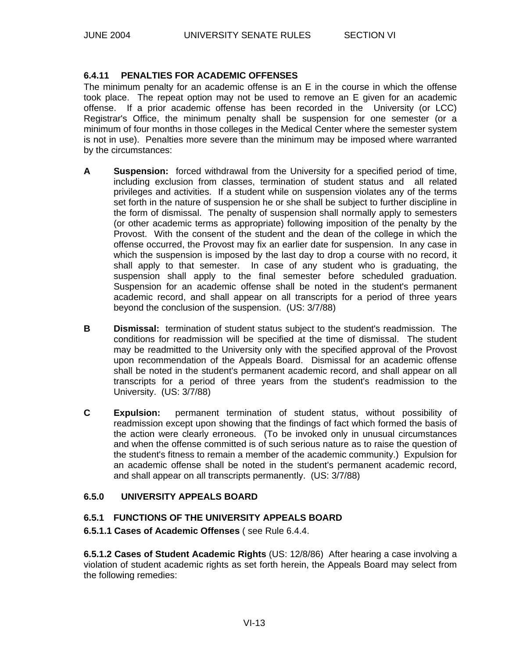# **6.4.11 PENALTIES FOR ACADEMIC OFFENSES**

The minimum penalty for an academic offense is an E in the course in which the offense took place. The repeat option may not be used to remove an E given for an academic offense. If a prior academic offense has been recorded in the University (or LCC) Registrar's Office, the minimum penalty shall be suspension for one semester (or a minimum of four months in those colleges in the Medical Center where the semester system is not in use). Penalties more severe than the minimum may be imposed where warranted by the circumstances:

- **A Suspension:** forced withdrawal from the University for a specified period of time, including exclusion from classes, termination of student status and all related privileges and activities. If a student while on suspension violates any of the terms set forth in the nature of suspension he or she shall be subject to further discipline in the form of dismissal. The penalty of suspension shall normally apply to semesters (or other academic terms as appropriate) following imposition of the penalty by the Provost. With the consent of the student and the dean of the college in which the offense occurred, the Provost may fix an earlier date for suspension. In any case in which the suspension is imposed by the last day to drop a course with no record, it shall apply to that semester. In case of any student who is graduating, the suspension shall apply to the final semester before scheduled graduation. Suspension for an academic offense shall be noted in the student's permanent academic record, and shall appear on all transcripts for a period of three years beyond the conclusion of the suspension. (US: 3/7/88)
- **B Dismissal:** termination of student status subject to the student's readmission. The conditions for readmission will be specified at the time of dismissal. The student may be readmitted to the University only with the specified approval of the Provost upon recommendation of the Appeals Board. Dismissal for an academic offense shall be noted in the student's permanent academic record, and shall appear on all transcripts for a period of three years from the student's readmission to the University. (US: 3/7/88)
- **C Expulsion:** permanent termination of student status, without possibility of readmission except upon showing that the findings of fact which formed the basis of the action were clearly erroneous. (To be invoked only in unusual circumstances and when the offense committed is of such serious nature as to raise the question of the student's fitness to remain a member of the academic community.) Expulsion for an academic offense shall be noted in the student's permanent academic record, and shall appear on all transcripts permanently. (US: 3/7/88)

## **6.5.0 UNIVERSITY APPEALS BOARD**

## **6.5.1 FUNCTIONS OF THE UNIVERSITY APPEALS BOARD**

## **6.5.1.1 Cases of Academic Offenses** ( see Rule 6.4.4.

**6.5.1.2 Cases of Student Academic Rights** (US: 12/8/86) After hearing a case involving a violation of student academic rights as set forth herein, the Appeals Board may select from the following remedies: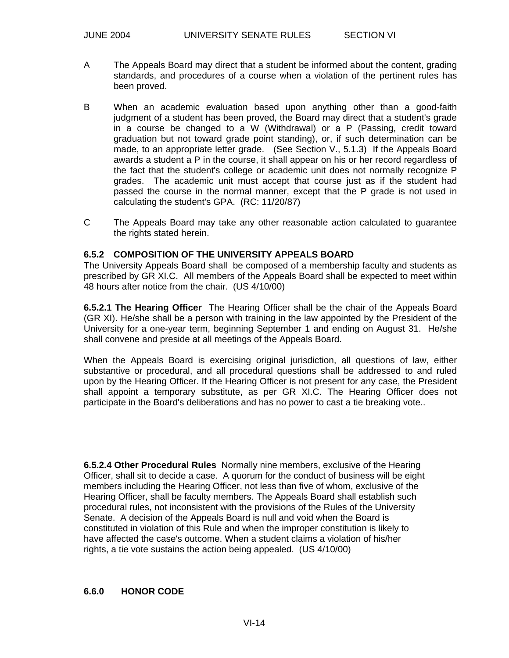- A The Appeals Board may direct that a student be informed about the content, grading standards, and procedures of a course when a violation of the pertinent rules has been proved.
- B When an academic evaluation based upon anything other than a good-faith judgment of a student has been proved, the Board may direct that a student's grade in a course be changed to a W (Withdrawal) or a P (Passing, credit toward graduation but not toward grade point standing), or, if such determination can be made, to an appropriate letter grade. (See Section V., 5.1.3) If the Appeals Board awards a student a P in the course, it shall appear on his or her record regardless of the fact that the student's college or academic unit does not normally recognize P grades. The academic unit must accept that course just as if the student had passed the course in the normal manner, except that the P grade is not used in calculating the student's GPA. (RC: 11/20/87)
- C The Appeals Board may take any other reasonable action calculated to guarantee the rights stated herein.

## **6.5.2 COMPOSITION OF THE UNIVERSITY APPEALS BOARD**

The University Appeals Board shall be composed of a membership faculty and students as prescribed by GR XI.C. All members of the Appeals Board shall be expected to meet within 48 hours after notice from the chair. (US 4/10/00)

**6.5.2.1 The Hearing Officer** The Hearing Officer shall be the chair of the Appeals Board (GR XI). He/she shall be a person with training in the law appointed by the President of the University for a one-year term, beginning September 1 and ending on August 31. He/she shall convene and preside at all meetings of the Appeals Board.

When the Appeals Board is exercising original jurisdiction, all questions of law, either substantive or procedural, and all procedural questions shall be addressed to and ruled upon by the Hearing Officer. If the Hearing Officer is not present for any case, the President shall appoint a temporary substitute, as per GR XI.C. The Hearing Officer does not participate in the Board's deliberations and has no power to cast a tie breaking vote..

**6.5.2.4 Other Procedural Rules** Normally nine members, exclusive of the Hearing Officer, shall sit to decide a case. A quorum for the conduct of business will be eight members including the Hearing Officer, not less than five of whom, exclusive of the Hearing Officer, shall be faculty members. The Appeals Board shall establish such procedural rules, not inconsistent with the provisions of the Rules of the University Senate. A decision of the Appeals Board is null and void when the Board is constituted in violation of this Rule and when the improper constitution is likely to have affected the case's outcome. When a student claims a violation of his/her rights, a tie vote sustains the action being appealed. (US 4/10/00)

## **6.6.0 HONOR CODE**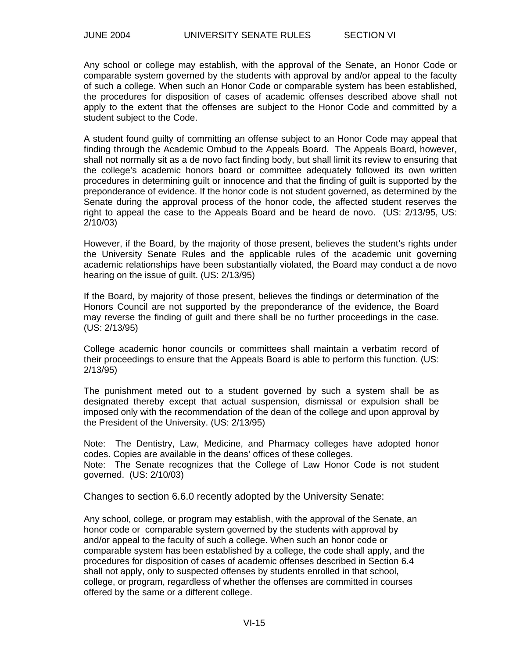Any school or college may establish, with the approval of the Senate, an Honor Code or comparable system governed by the students with approval by and/or appeal to the faculty of such a college. When such an Honor Code or comparable system has been established, the procedures for disposition of cases of academic offenses described above shall not apply to the extent that the offenses are subject to the Honor Code and committed by a student subject to the Code.

A student found guilty of committing an offense subject to an Honor Code may appeal that finding through the Academic Ombud to the Appeals Board. The Appeals Board, however, shall not normally sit as a de novo fact finding body, but shall limit its review to ensuring that the college's academic honors board or committee adequately followed its own written procedures in determining guilt or innocence and that the finding of guilt is supported by the preponderance of evidence. If the honor code is not student governed, as determined by the Senate during the approval process of the honor code, the affected student reserves the right to appeal the case to the Appeals Board and be heard de novo. (US: 2/13/95, US: 2/10/03)

However, if the Board, by the majority of those present, believes the student's rights under the University Senate Rules and the applicable rules of the academic unit governing academic relationships have been substantially violated, the Board may conduct a de novo hearing on the issue of guilt. (US: 2/13/95)

If the Board, by majority of those present, believes the findings or determination of the Honors Council are not supported by the preponderance of the evidence, the Board may reverse the finding of guilt and there shall be no further proceedings in the case. (US: 2/13/95)

College academic honor councils or committees shall maintain a verbatim record of their proceedings to ensure that the Appeals Board is able to perform this function. (US: 2/13/95)

The punishment meted out to a student governed by such a system shall be as designated thereby except that actual suspension, dismissal or expulsion shall be imposed only with the recommendation of the dean of the college and upon approval by the President of the University. (US: 2/13/95)

Note: The Dentistry, Law, Medicine, and Pharmacy colleges have adopted honor codes. Copies are available in the deans' offices of these colleges. Note: The Senate recognizes that the College of Law Honor Code is not student governed. (US: 2/10/03)

Changes to section 6.6.0 recently adopted by the University Senate:

Any school, college, or program may establish, with the approval of the Senate, an honor code or comparable system governed by the students with approval by and/or appeal to the faculty of such a college. When such an honor code or comparable system has been established by a college, the code shall apply, and the procedures for disposition of cases of academic offenses described in Section 6.4 shall not apply, only to suspected offenses by students enrolled in that school, college, or program, regardless of whether the offenses are committed in courses offered by the same or a different college.